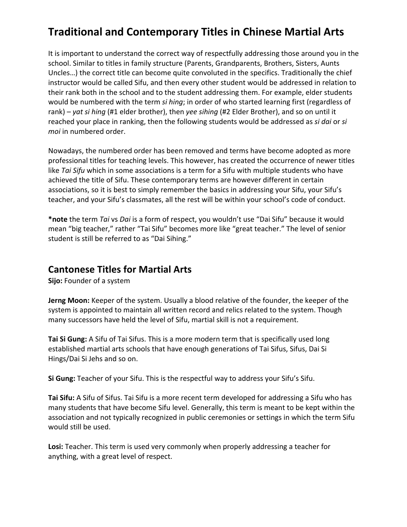## **Traditional and Contemporary Titles in Chinese Martial Arts**

It is important to understand the correct way of respectfully addressing those around you in the school. Similar to titles in family structure (Parents, Grandparents, Brothers, Sisters, Aunts Uncles...) the correct title can become quite convoluted in the specifics. Traditionally the chief instructor would be called Sifu, and then every other student would be addressed in relation to their rank both in the school and to the student addressing them. For example, elder students would be numbered with the term *si hing*; in order of who started learning first (regardless of rank) – *yat si hing* (#1 elder brother), then *yee sihing* (#2 Elder Brother), and so on until it reached your place in ranking, then the following students would be addressed as *si dai* or *si moi* in numbered order.

Nowadays, the numbered order has been removed and terms have become adopted as more professional titles for teaching levels. This however, has created the occurrence of newer titles like *Tai Sifu* which in some associations is a term for a Sifu with multiple students who have achieved the title of Sifu. These contemporary terms are however different in certain associations, so it is best to simply remember the basics in addressing your Sifu, your Sifu's teacher, and your Sifu's classmates, all the rest will be within your school's code of conduct.

\*note the term *Tai* vs *Dai* is a form of respect, you wouldn't use "Dai Sifu" because it would mean "big teacher," rather "Tai Sifu" becomes more like "great teacher." The level of senior student is still be referred to as "Dai Sihing."

## **Cantonese Titles for Martial Arts**

**Sijo:** Founder of a system

**Jerng Moon:** Keeper of the system. Usually a blood relative of the founder, the keeper of the system is appointed to maintain all written record and relics related to the system. Though many successors have held the level of Sifu, martial skill is not a requirement.

**Tai Si Gung:** A Sifu of Tai Sifus. This is a more modern term that is specifically used long established martial arts schools that have enough generations of Tai Sifus, Sifus, Dai Si Hings/Dai Si Jehs and so on.

**Si Gung:** Teacher of your Sifu. This is the respectful way to address your Sifu's Sifu.

**Tai Sifu:** A Sifu of Sifus. Tai Sifu is a more recent term developed for addressing a Sifu who has many students that have become Sifu level. Generally, this term is meant to be kept within the association and not typically recognized in public ceremonies or settings in which the term Sifu would still be used.

Losi: Teacher. This term is used very commonly when properly addressing a teacher for anything, with a great level of respect.